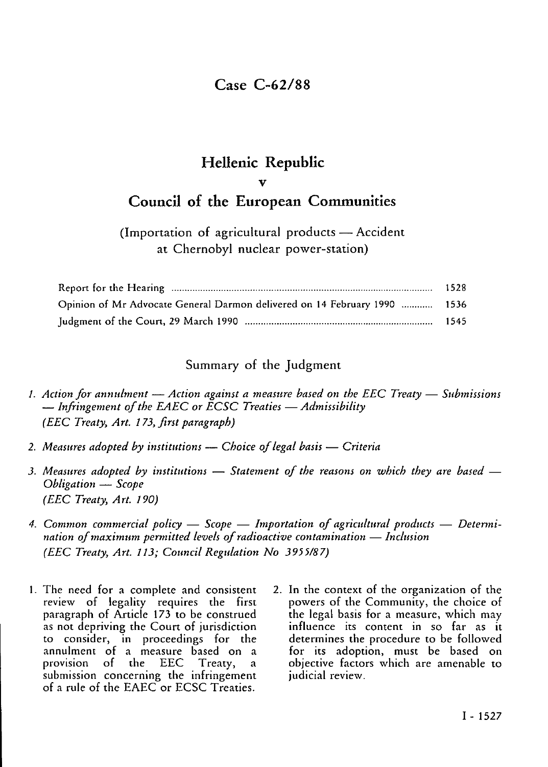## Case C-62/88

# Hellenic Republic v Council of the European Communities

### (Importation of agricultural products — Accident at Chernobyl nuclear power-station)

| Opinion of Mr Advocate General Darmon delivered on 14 February 1990  1536 |  |
|---------------------------------------------------------------------------|--|
|                                                                           |  |

#### Summary of the Judgment

- /. *Action for annulment Action against a measure based on the EEC Treaty Submissions* — *Infringement of the EAEC or ECSC Treaties* — *Admissibility (EEC Treaty, Art. 173, first paragraph)*
- *2. Measures adopted by institutions Choice of legal basis Criteria*
- *3. Measures adopted by institutions Statement of the reasons on which they are based Obligation* — *Scope (EEC Treaty, Art. 190)*
- *4. Common commercial policy Scope Importation of agricultural products Determination* of *maximum* permitted levels of *radioactive contamination* — *Inclusion (EEC Treaty, Art. 113; Council Regulation No 3955/87)*
- 1. The need for a complete and consistent review of legality requires the first paragraph of Article 173 to be construed as not depriving the Court of jurisdiction to consider, in proceedings for the annulment of a measure based on a provision of the EEC Treaty, submission concerning the infringement of a rule of the EAEC or ECSC Treaties.
- 2. In the context of the organization of the powers of the Community, the choice of the legal basis for a measure, which may influence its content in so far as it determines the procedure to be followed for its adoption, must be based on objective factors which are amenable to judicial review.